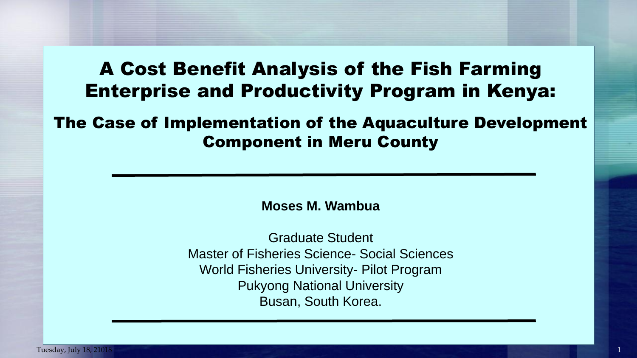## A Cost Benefit Analysis of the Fish Farming Enterprise and Productivity Program in Kenya:

The Case of Implementation of the Aquaculture Development Component in Meru County

**Moses M. Wambua**

Graduate Student Master of Fisheries Science- Social Sciences World Fisheries University- Pilot Program Pukyong National University Busan, South Korea.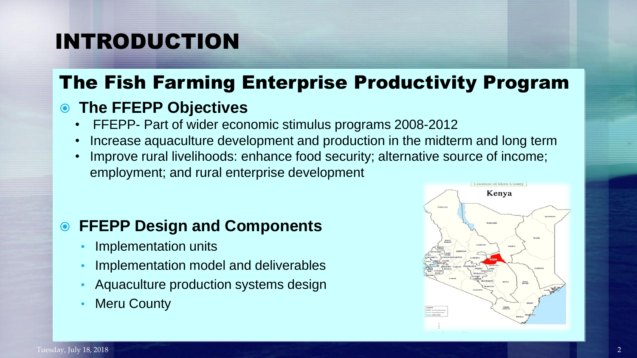# INTRODUCTION

## The Fish Farming Enterprise Productivity Program

### **The FFEPP Objectives**

- FFEPP- Part of wider economic stimulus programs 2008-2012
- Increase aquaculture development and production in the midterm and long term
- Improve rural livelihoods: enhance food security; alternative source of income; employment; and rural enterprise development

### **FFEPP Design and Components**

- Implementation units
- Implementation model and deliverables
- Aquaculture production systems design
- Meru County

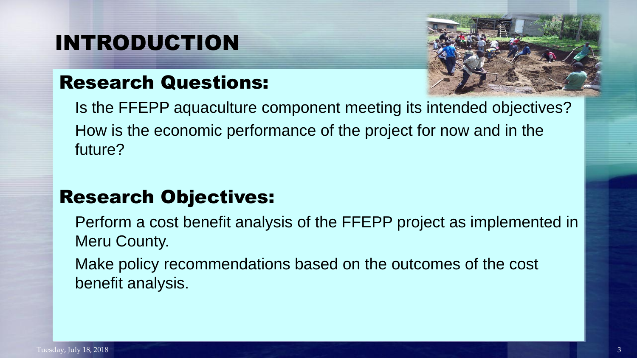# INTRODUCTION

## Research Questions:



Is the FFEPP aquaculture component meeting its intended objectives? How is the economic performance of the project for now and in the future?

## Research Objectives:

Perform a cost benefit analysis of the FFEPP project as implemented in Meru County.

Make policy recommendations based on the outcomes of the cost benefit analysis.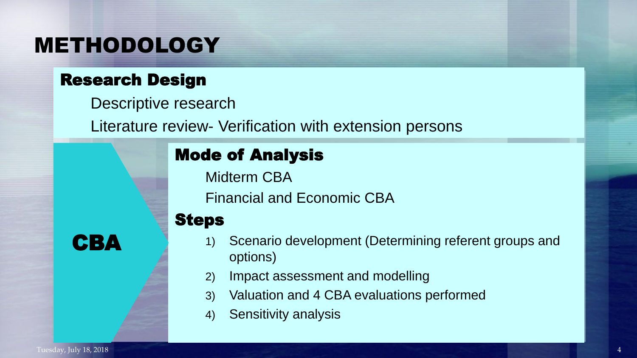## METHODOLOGY

### Research Design

Descriptive research

Literature review- Verification with extension persons

## Mode of Analysis

Midterm CBA

Financial and Economic CBA

### Steps

1) Scenario development (Determining referent groups and options)

- 2) Impact assessment and modelling
- 3) Valuation and 4 CBA evaluations performed
- 4) Sensitivity analysis

CBA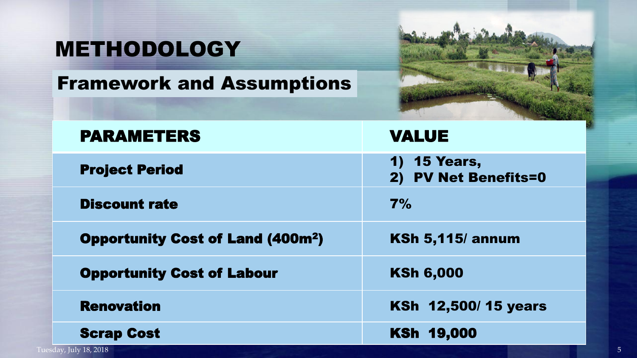# METHODOLOGY

## Framework and Assumptions



| <b>PARAMETERS</b>                                  | <b>VALUE</b>                         |
|----------------------------------------------------|--------------------------------------|
| <b>Project Period</b>                              | 1) 15 Years,<br>2) PV Net Benefits=0 |
| <b>Discount rate</b>                               | 7%                                   |
| <b>Opportunity Cost of Land (400m<sup>2</sup>)</b> | <b>KSh 5,115/ annum</b>              |
| <b>Opportunity Cost of Labour</b>                  | <b>KSh 6,000</b>                     |
| <b>Renovation</b>                                  | <b>KSh 12,500/15 years</b>           |
| <b>Scrap Cost</b>                                  | <b>KSh 19,000</b>                    |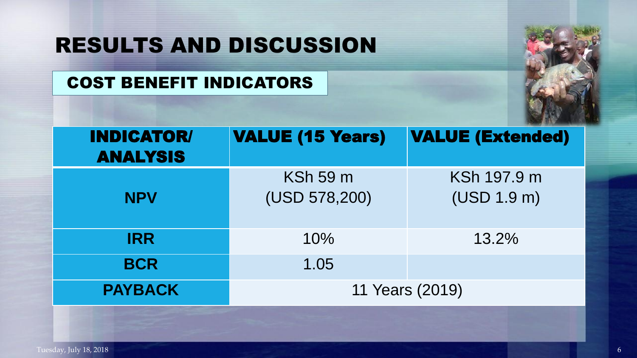### COST BENEFIT INDICATORS



| <b>INDICATOR/</b><br><b>ANALYSIS</b> | <b>VALUE (15 Years)</b> | <b>VALUE (Extended)</b> |  |  |  |
|--------------------------------------|-------------------------|-------------------------|--|--|--|
|                                      | <b>KSh 59 m</b>         | KSh 197.9 m             |  |  |  |
| <b>NPV</b>                           | (USD 578,200)           | (USD 1.9 m)             |  |  |  |
| <b>IRR</b>                           | 10%                     | 13.2%                   |  |  |  |
| <b>BCR</b>                           | 1.05                    |                         |  |  |  |
| <b>PAYBACK</b>                       | 11 Years (2019)         |                         |  |  |  |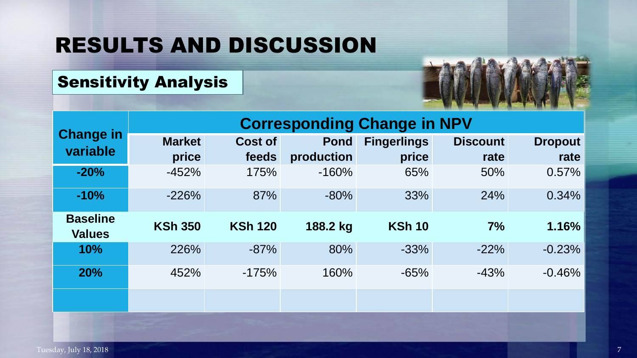## Sensitivity Analysis



|                                  | <b>Corresponding Change in NPV</b> |                |             |                    |                 |                |
|----------------------------------|------------------------------------|----------------|-------------|--------------------|-----------------|----------------|
| <b>Change in</b><br>variable     | <b>Market</b>                      | <b>Cost of</b> | <b>Pond</b> | <b>Fingerlings</b> | <b>Discount</b> | <b>Dropout</b> |
|                                  | price                              | feeds          | production  | price              | rate            | rate           |
| $-20%$                           | $-452%$                            | 175%           | $-160%$     | 65%                | 50%             | $0.57\%$       |
| $-10%$                           | $-226%$                            | 87%            | $-80%$      | 33%                | 24%             | $0.34\%$       |
| <b>Baseline</b><br><b>Values</b> | <b>KSh 350</b>                     | <b>KSh 120</b> | 188.2 kg    | <b>KSh 10</b>      | 7%              | 1.16%          |
| 10%                              | 226%                               | $-87%$         | 80%         | $-33%$             | $-22%$          | $-0.23%$       |
| <b>20%</b>                       | 452%                               | $-175%$        | 160%        | $-65%$             | $-43%$          | $-0.46%$       |
|                                  |                                    |                |             |                    |                 |                |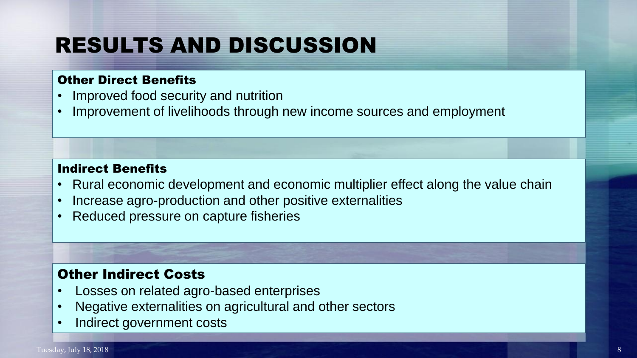#### Other Direct Benefits

- Improved food security and nutrition
- Improvement of livelihoods through new income sources and employment

#### Indirect Benefits

- Rural economic development and economic multiplier effect along the value chain
- Increase agro-production and other positive externalities
- Reduced pressure on capture fisheries

#### Other Indirect Costs

- Losses on related agro-based enterprises
- Negative externalities on agricultural and other sectors
- Indirect government costs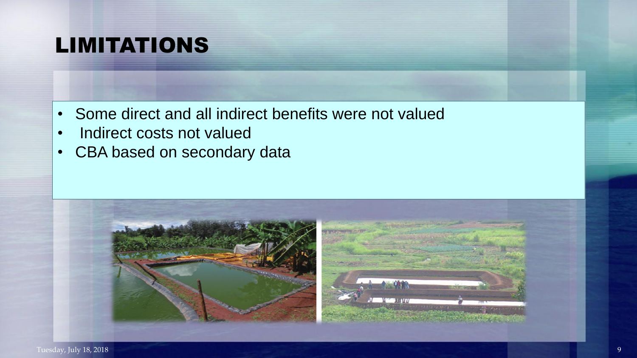# LIMITATIONS

- Some direct and all indirect benefits were not valued
- Indirect costs not valued
- CBA based on secondary data

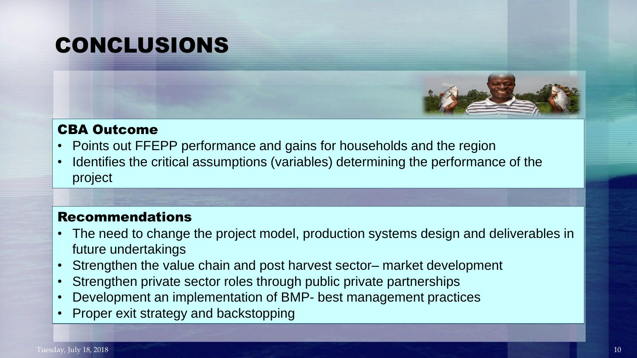# CONCLUSIONS



#### CBA Outcome

- Points out FFEPP performance and gains for households and the region
- Identifies the critical assumptions (variables) determining the performance of the project

#### Recommendations

- The need to change the project model, production systems design and deliverables in future undertakings
- Strengthen the value chain and post harvest sector– market development
- Strengthen private sector roles through public private partnerships
- Development an implementation of BMP- best management practices
- Proper exit strategy and backstopping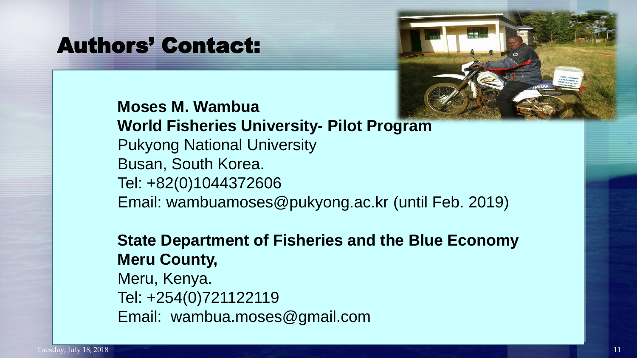## Authors' Contact:



#### **Moses M. Wambua World Fisheries University- Pilot Program** Pukyong National University Busan, South Korea. Tel: +82(0)1044372606

Email: wambuamoses@pukyong.ac.kr (until Feb. 2019)

### **State Department of Fisheries and the Blue Economy Meru County,**

Meru, Kenya. Tel: +254(0)721122119 Email: wambua.moses@gmail.com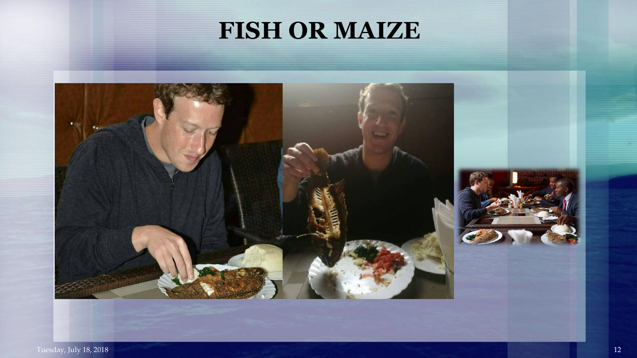# **FISH OR MAIZE**

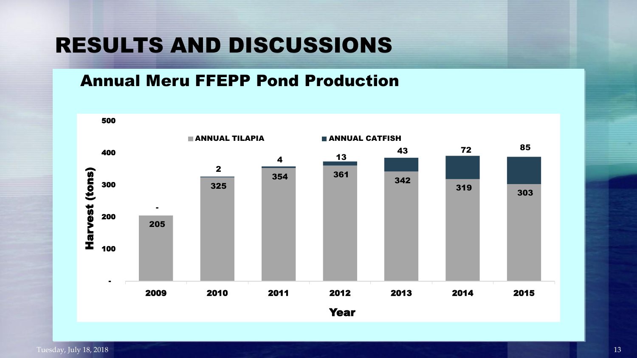#### Annual Meru FFEPP Pond Production